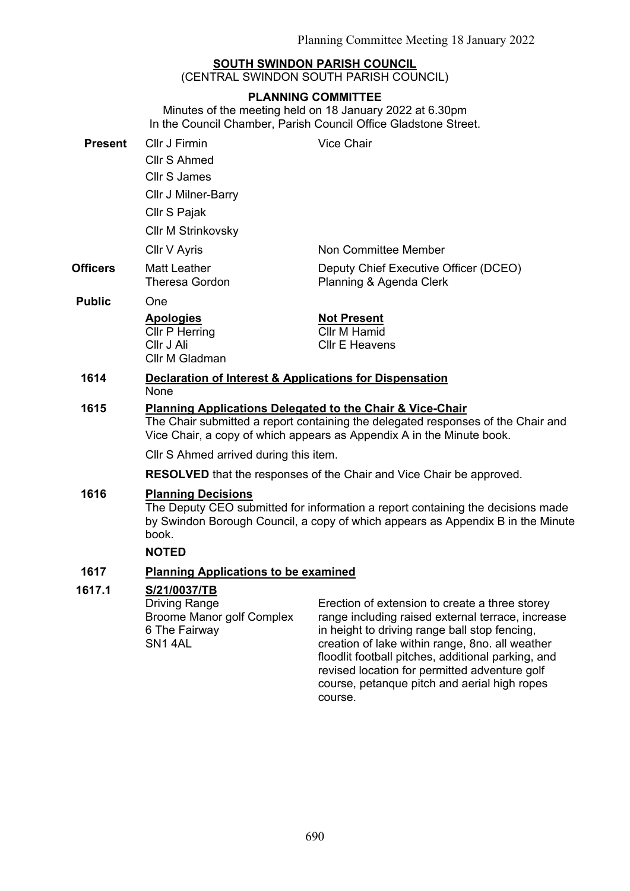## **SOUTH SWINDON PARISH COUNCIL**

(CENTRAL SWINDON SOUTH PARISH COUNCIL)

## **PLANNING COMMITTEE**

Minutes of the meeting held on 18 January 2022 at 6.30pm In the Council Chamber, Parish Council Office Gladstone Street.

| <b>Present</b>  | Cllr J Firmin<br>Cllr S Ahmed<br><b>Cllr S James</b><br>Cllr J Milner-Barry<br>Cllr S Pajak                                                                                                                                       | Vice Chair                                                                                                                                                                                                                                                    |
|-----------------|-----------------------------------------------------------------------------------------------------------------------------------------------------------------------------------------------------------------------------------|---------------------------------------------------------------------------------------------------------------------------------------------------------------------------------------------------------------------------------------------------------------|
|                 | <b>Cllr M Strinkovsky</b>                                                                                                                                                                                                         |                                                                                                                                                                                                                                                               |
|                 | Cllr V Ayris                                                                                                                                                                                                                      | Non Committee Member                                                                                                                                                                                                                                          |
| <b>Officers</b> | <b>Matt Leather</b><br><b>Theresa Gordon</b>                                                                                                                                                                                      | Deputy Chief Executive Officer (DCEO)<br>Planning & Agenda Clerk                                                                                                                                                                                              |
| <b>Public</b>   | One                                                                                                                                                                                                                               |                                                                                                                                                                                                                                                               |
|                 | <b>Apologies</b><br><b>Cllr P Herring</b><br>Cllr J Ali<br>Cllr M Gladman                                                                                                                                                         | <b>Not Present</b><br><b>Cllr M Hamid</b><br><b>CIIr E Heavens</b>                                                                                                                                                                                            |
| 1614            | <b>Declaration of Interest &amp; Applications for Dispensation</b><br><b>None</b>                                                                                                                                                 |                                                                                                                                                                                                                                                               |
| 1615            | <b>Planning Applications Delegated to the Chair &amp; Vice-Chair</b><br>The Chair submitted a report containing the delegated responses of the Chair and<br>Vice Chair, a copy of which appears as Appendix A in the Minute book. |                                                                                                                                                                                                                                                               |
|                 | CIIr S Ahmed arrived during this item.                                                                                                                                                                                            |                                                                                                                                                                                                                                                               |
|                 | <b>RESOLVED</b> that the responses of the Chair and Vice Chair be approved.                                                                                                                                                       |                                                                                                                                                                                                                                                               |
| 1616            | <b>Planning Decisions</b><br>The Deputy CEO submitted for information a report containing the decisions made<br>by Swindon Borough Council, a copy of which appears as Appendix B in the Minute<br>book.<br><b>NOTED</b>          |                                                                                                                                                                                                                                                               |
| 1617            | <b>Planning Applications to be examined</b>                                                                                                                                                                                       |                                                                                                                                                                                                                                                               |
| 1617.1          | S/21/0037/TB<br><b>Driving Range</b><br><b>Broome Manor golf Complex</b><br>6 The Fairway<br>SN <sub>1</sub> 4AL                                                                                                                  | Erection of extension to create a three storey<br>range including raised external terrace, increase<br>in height to driving range ball stop fencing,<br>creation of lake within range, 8no. all weather<br>floodlit football pitches, additional parking, and |

revised location for permitted adventure golf course, petanque pitch and aerial high ropes

course.